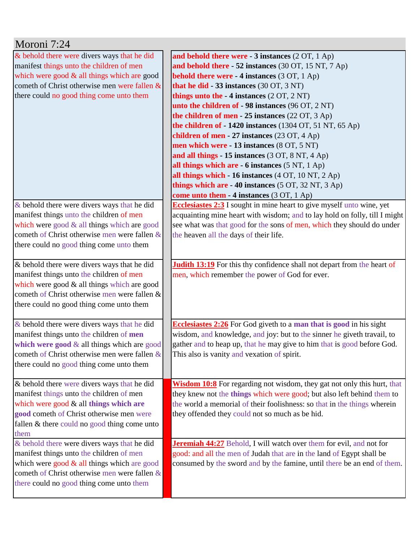| Moroni 7:24                                                                                                                                                                                                                                |                                                                                                                                                                                                                                                                                                                                                                                                                                                                                                                                                                                                                                                                                                                                                                                                      |
|--------------------------------------------------------------------------------------------------------------------------------------------------------------------------------------------------------------------------------------------|------------------------------------------------------------------------------------------------------------------------------------------------------------------------------------------------------------------------------------------------------------------------------------------------------------------------------------------------------------------------------------------------------------------------------------------------------------------------------------------------------------------------------------------------------------------------------------------------------------------------------------------------------------------------------------------------------------------------------------------------------------------------------------------------------|
| & behold there were divers ways that he did<br>manifest things unto the children of men<br>which were good & all things which are good<br>cometh of Christ otherwise men were fallen $\&$<br>there could no good thing come unto them      | and behold there were - 3 instances (2 OT, 1 Ap)<br>and behold there - 52 instances (30 OT, 15 NT, 7 Ap)<br><b>behold there were - 4 instances</b> (3 OT, 1 Ap)<br>that he did - 33 instances (30 OT, 3 NT)<br>things unto the $-4$ instances $(2 OT, 2 NT)$<br>unto the children of - 98 instances (96 OT, 2 NT)<br>the children of men $-25$ instances (22 OT, 3 Ap)<br>the children of $-1420$ instances (1304 OT, 51 NT, 65 Ap)<br>children of men - 27 instances (23 OT, 4 Ap)<br>men which were - 13 instances (8 OT, 5 NT)<br>and all things - 15 instances (3 OT, 8 NT, 4 Ap)<br>all things which are - 6 instances (5 NT, 1 Ap)<br>all things which - 16 instances (4 OT, 10 NT, 2 Ap)<br>things which are $-40$ instances (5 OT, 32 NT, 3 Ap)<br>come unto them - 4 instances (3 OT, 1 Ap) |
| & behold there were divers ways that he did<br>manifest things unto the children of men<br>which were good $&$ all things which are good<br>cometh of Christ otherwise men were fallen $\&$<br>there could no good thing come unto them    | <b>Ecclesiastes 2:3</b> I sought in mine heart to give myself unto wine, yet<br>acquainting mine heart with wisdom; and to lay hold on folly, till I might<br>see what was that good for the sons of men, which they should do under<br>the heaven all the days of their life.                                                                                                                                                                                                                                                                                                                                                                                                                                                                                                                       |
| & behold there were divers ways that he did<br>manifest things unto the children of men<br>which were good & all things which are good<br>cometh of Christ otherwise men were fallen &<br>there could no good thing come unto them         | <b>Judith 13:19</b> For this thy confidence shall not depart from the heart of<br>men, which remember the power of God for ever.                                                                                                                                                                                                                                                                                                                                                                                                                                                                                                                                                                                                                                                                     |
| & behold there were divers ways that he did<br>manifest things unto the children of men<br>which were good & all things which are good<br>cometh of Christ otherwise men were fallen &<br>there could no good thing come unto them         | <b>Ecclesiastes 2:26</b> For God giveth to a man that is good in his sight<br>wisdom, and knowledge, and joy: but to the sinner he giveth travail, to<br>gather and to heap up, that he may give to him that is good before God.<br>This also is vanity and vexation of spirit.                                                                                                                                                                                                                                                                                                                                                                                                                                                                                                                      |
| & behold there were divers ways that he did<br>manifest things unto the children of men<br>which were good $\&$ all things which are<br>good cometh of Christ otherwise men were<br>fallen $&$ there could no good thing come unto<br>them | <b>Wisdom 10:8</b> For regarding not wisdom, they gat not only this hurt, that<br>they knew not the things which were good; but also left behind them to<br>the world a memorial of their foolishness: so that in the things wherein<br>they offended they could not so much as be hid.                                                                                                                                                                                                                                                                                                                                                                                                                                                                                                              |
| & behold there were divers ways that he did<br>manifest things unto the children of men<br>which were good $&$ all things which are good<br>cometh of Christ otherwise men were fallen $\&$<br>there could no good thing come unto them    | <b>Jeremiah 44:27</b> Behold, I will watch over them for evil, and not for<br>good: and all the men of Judah that are in the land of Egypt shall be<br>consumed by the sword and by the famine, until there be an end of them.                                                                                                                                                                                                                                                                                                                                                                                                                                                                                                                                                                       |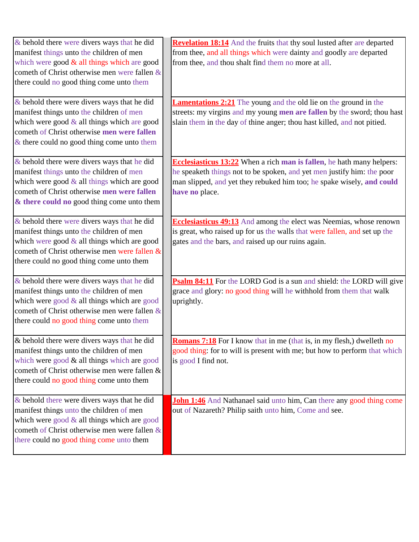| & behold there were divers ways that he did<br>manifest things unto the children of men<br>which were good $\&$ all things which are good<br>cometh of Christ otherwise men were fallen &<br>there could no good thing come unto them       | Revelation 18:14 And the fruits that thy soul lusted after are departed<br>from thee, and all things which were dainty and goodly are departed<br>from thee, and thou shalt find them no more at all.                                             |
|---------------------------------------------------------------------------------------------------------------------------------------------------------------------------------------------------------------------------------------------|---------------------------------------------------------------------------------------------------------------------------------------------------------------------------------------------------------------------------------------------------|
| $\&$ behold there were divers ways that he did<br>manifest things unto the children of men<br>which were good $\&$ all things which are good<br>cometh of Christ otherwise men were fallen<br>$\&$ there could no good thing come unto them | <b>Lamentations 2:21</b> The young and the old lie on the ground in the<br>streets: my virgins and my young men are fallen by the sword; thou hast<br>slain them in the day of thine anger; thou hast killed, and not pitied.                     |
| & behold there were divers ways that he did<br>manifest things unto the children of men<br>which were good & all things which are good<br>cometh of Christ otherwise men were fallen<br>& there could no good thing come unto them          | <b>Ecclesiasticus 13:22</b> When a rich man is fallen, he hath many helpers:<br>he speaketh things not to be spoken, and yet men justify him: the poor<br>man slipped, and yet they rebuked him too; he spake wisely, and could<br>have no place. |
| & behold there were divers ways that he did<br>manifest things unto the children of men<br>which were good $&$ all things which are good<br>cometh of Christ otherwise men were fallen &<br>there could no good thing come unto them        | <b>Ecclesiasticus 49:13</b> And among the elect was Neemias, whose renown<br>is great, who raised up for us the walls that were fallen, and set up the<br>gates and the bars, and raised up our ruins again.                                      |
| & behold there were divers ways that he did<br>manifest things unto the children of men<br>which were good $&$ all things which are good<br>cometh of Christ otherwise men were fallen $\&$<br>there could no good thing come unto them     | Psalm 84:11 For the LORD God is a sun and shield: the LORD will give<br>grace and glory: no good thing will he withhold from them that walk<br>uprightly.                                                                                         |
| & behold there were divers ways that he did<br>manifest things unto the children of men<br>which were good $\&$ all things which are good<br>cometh of Christ otherwise men were fallen &<br>there could no good thing come unto them       | <b>Romans 7:18</b> For I know that in me (that is, in my flesh,) dwelleth no<br>good thing: for to will is present with me; but how to perform that which<br>is good I find not.                                                                  |
| $\&$ behold there were divers ways that he did<br>manifest things unto the children of men<br>which were good $&$ all things which are good<br>cometh of Christ otherwise men were fallen $\&$<br>there could no good thing come unto them  | <b>John 1:46</b> And Nathanael said unto him, Can there any good thing come<br>out of Nazareth? Philip saith unto him, Come and see.                                                                                                              |